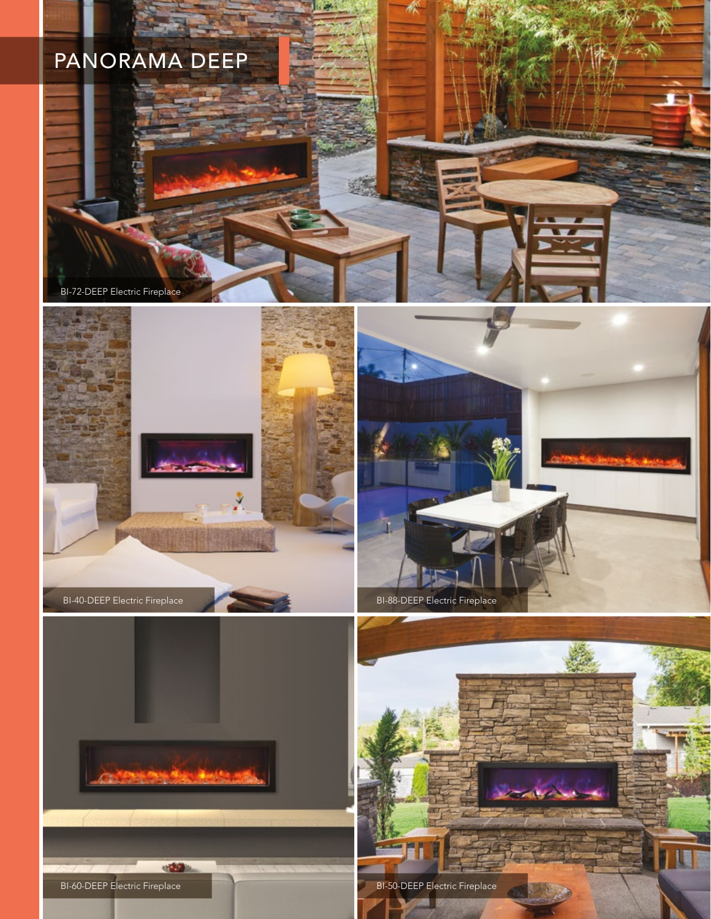